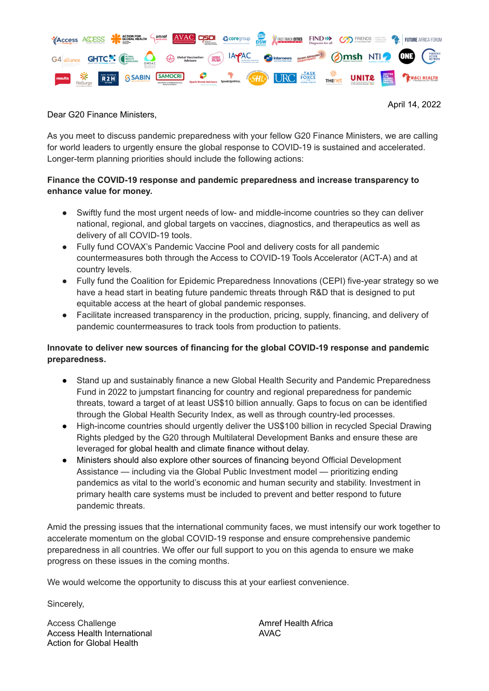

April 14, 2022

## Dear G20 Finance Ministers,

As you meet to discuss pandemic preparedness with your fellow G20 Finance Ministers, we are calling for world leaders to urgently ensure the global response to COVID-19 is sustained and accelerated. Longer-term planning priorities should include the following actions:

## **Finance the COVID-19 response and pandemic preparedness and increase transparency to enhance value for money.**

- Swiftly fund the most urgent needs of low- and middle-income countries so they can deliver national, regional, and global targets on vaccines, diagnostics, and therapeutics as well as delivery of all COVID-19 tools.
- Fully fund COVAX's Pandemic Vaccine Pool and delivery costs for all pandemic countermeasures both through the Access to COVID-19 Tools Accelerator (ACT-A) and at country levels.
- Fully fund the Coalition for Epidemic Preparedness Innovations (CEPI) five-year strategy so we have a head start in beating future pandemic threats through R&D that is designed to put equitable access at the heart of global pandemic responses.
- Facilitate increased transparency in the production, pricing, supply, financing, and delivery of pandemic countermeasures to track tools from production to patients.

## **Innovate to deliver new sources of financing for the global COVID-19 response and pandemic preparedness.**

- Stand up and sustainably finance a new Global Health Security and Pandemic Preparedness Fund in 2022 to jumpstart financing for country and regional preparedness for pandemic threats, toward a target of at least US\$10 billion annually. Gaps to focus on can be identified through the Global Health Security Index, as well as through country-led processes.
- High-income countries should urgently deliver the US\$100 billion in recycled Special Drawing Rights pledged by the G20 through Multilateral Development Banks and ensure these are leveraged for global health and climate finance without delay.
- Ministers should also explore other sources of financing beyond Official Development Assistance — including via the Global Public Investment model — prioritizing ending pandemics as vital to the world's economic and human security and stability. Investment in primary health care systems must be included to prevent and better respond to future pandemic threats.

Amid the pressing issues that the international community faces, we must intensify our work together to accelerate momentum on the global COVID-19 response and ensure comprehensive pandemic preparedness in all countries. We offer our full support to you on this agenda to ensure we make progress on these issues in the coming months.

We would welcome the opportunity to discuss this at your earliest convenience.

Sincerely,

Access Challenge Access Health International Action for Global Health

Amref Health Africa AVAC